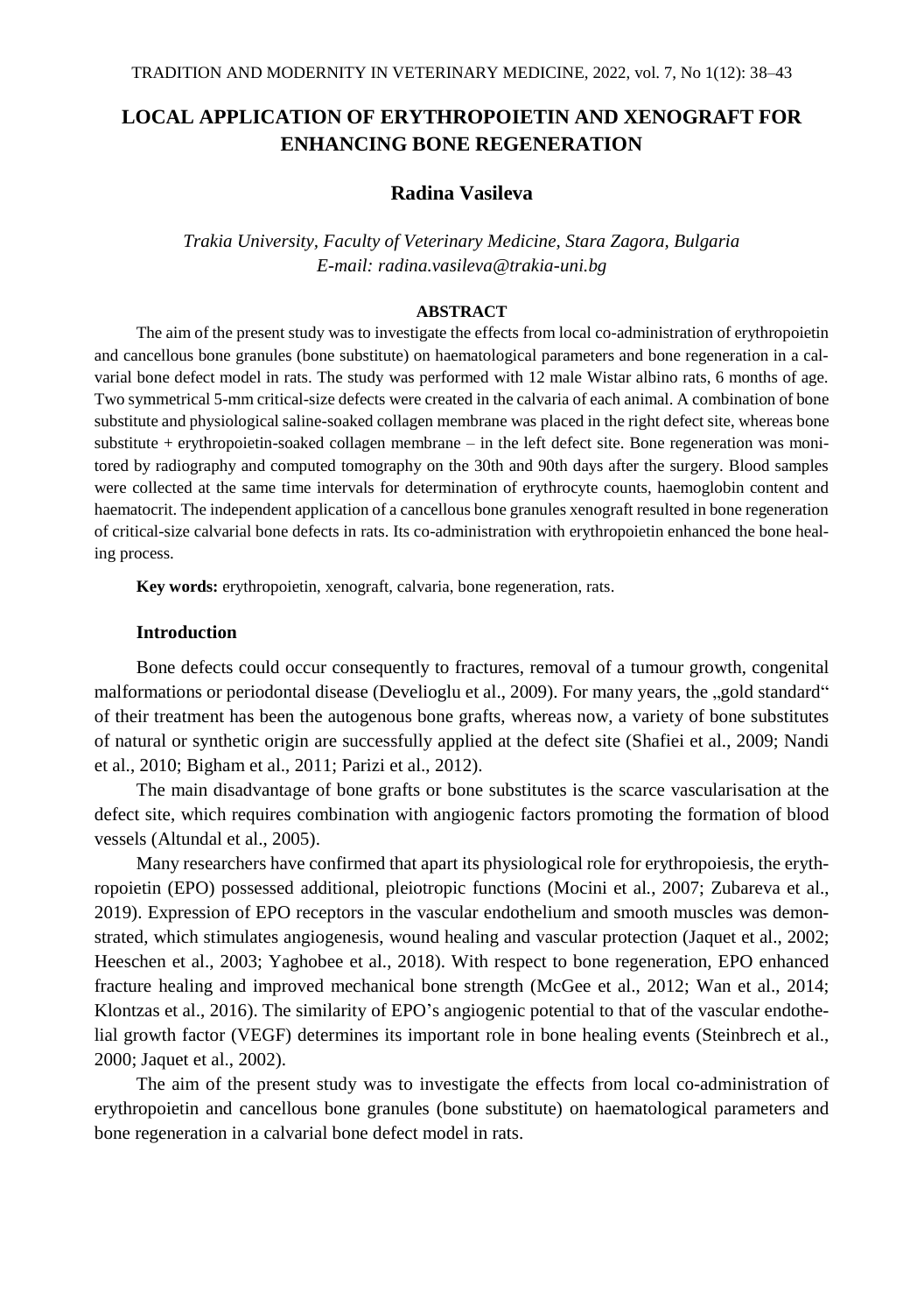# **LOCAL APPLICATION OF ERYTHROPOIETIN AND XENOGRAFT FOR ENHANCING BONE REGENERATION**

## **Radina Vasileva**

*Trakia University, Faculty of Veterinary Medicine, Stara Zagora, Bulgaria E-mail: radina.vasileva@trakia-uni.bg*

#### **ABSTRACT**

The aim of the present study was to investigate the effects from local co-administration of erythropoietin and cancellous bone granules (bone substitute) on haematological parameters and bone regeneration in a calvarial bone defect model in rats. The study was performed with 12 male Wistar albino rats, 6 months of age. Two symmetrical 5-mm critical-size defects were created in the calvaria of each animal. A combination of bone substitute and physiological saline-soaked collagen membrane was placed in the right defect site, whereas bone substitute + erythropoietin-soaked collagen membrane – in the left defect site. Bone regeneration was monitored by radiography and computed tomography on the 30th and 90th days after the surgery. Blood samples were collected at the same time intervals for determination of erythrocyte counts, haemoglobin content and haematocrit. The independent application of a cancellous bone granules xenograft resulted in bone regeneration of critical-size calvarial bone defects in rats. Its co-administration with erythropoietin enhanced the bone healing process.

**Key words:** erythropoietin, xenograft, calvaria, bone regeneration, rats.

## **Introduction**

Bone defects could occur consequently to fractures, removal of a tumour growth, congenital malformations or periodontal disease (Develioglu et al., 2009). For many years, the "gold standard" of their treatment has been the autogenous bone grafts, whereas now, a variety of bone substitutes of natural or synthetic origin are successfully applied at the defect site (Shafiei et al., 2009; Nandi et al., 2010; Bigham et al., 2011; Parizi et al., 2012).

The main disadvantage of bone grafts or bone substitutes is the scarce vascularisation at the defect site, which requires combination with angiogenic factors promoting the formation of blood vessels (Altundal et al., 2005).

Many researchers have confirmed that apart its physiological role for erythropoiesis, the erythropoietin (EPO) possessed additional, pleiotropic functions (Mocini et al*.*, 2007; Zubareva et al., 2019). Expression of EPO receptors in the vascular endothelium and smooth muscles was demonstrated, which stimulates angiogenesis, wound healing and vascular protection (Jaquet et al., 2002; Heeschen et al., 2003; Yaghobee et al., 2018). With respect to bone regeneration, EPO enhanced fracture healing and improved mechanical bone strength (McGee et al., 2012; Wan et al., 2014; Klontzas et al., 2016). The similarity of EPO's angiogenic potential to that of the vascular endothelial growth factor (VEGF) determines its important role in bone healing events (Steinbrech et al., 2000; Jaquet et al., 2002).

The aim of the present study was to investigate the effects from local co-administration of erythropoietin and cancellous bone granules (bone substitute) on haematological parameters and bone regeneration in a calvarial bone defect model in rats.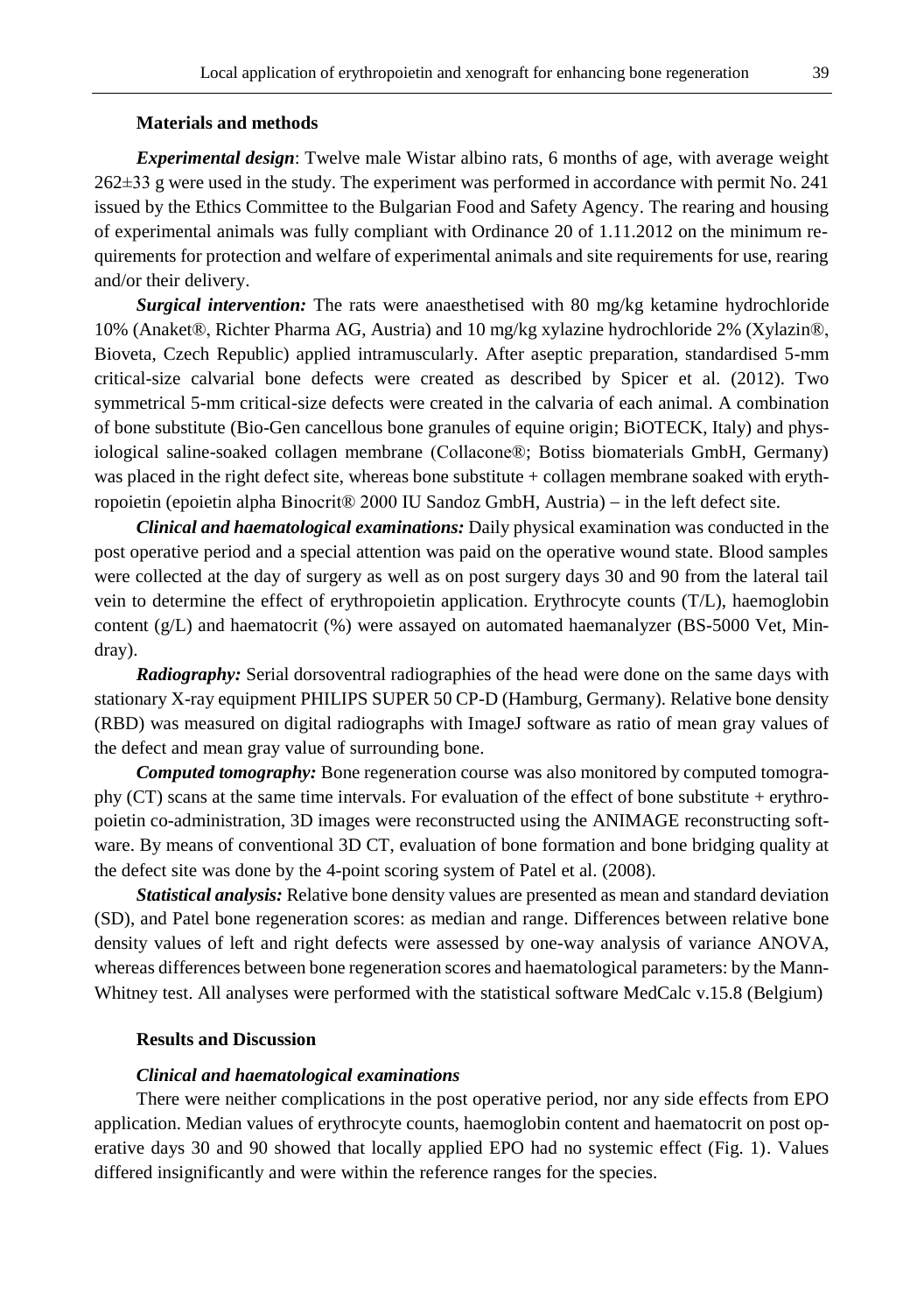## **Materials and methods**

*Experimental design*: Twelve male Wistar albino rats, 6 months of age, with average weight 262±33 g were used in the study. The experiment was performed in accordance with permit No. 241 issued by the Ethics Committee to the Bulgarian Food and Safety Agency. The rearing and housing of experimental animals was fully compliant with Ordinance 20 of 1.11.2012 on the minimum requirements for protection and welfare of experimental animals and site requirements for use, rearing and/or their delivery.

*Surgical intervention:* The rats were anaesthetised with 80 mg/kg ketamine hydrochloride 10% (Anaket®, Richter Pharma AG, Austria) and 10 mg/kg xylazine hydrochloride 2% (Xylazin®, Bioveta, Czech Republic) applied intramuscularly. After aseptic preparation, standardised 5-mm critical-size calvarial bone defects were created as described by Spicer et al. (2012). Two symmetrical 5-mm critical-size defects were created in the calvaria of each animal. A combination of bone substitute (Bio-Gen cancellous bone granules of equine origin; BiOTECK, Italy) and physiological saline-soaked collagen membrane (Collaconе®; Botiss biomaterials GmbH, Germany) was placed in the right defect site, whereas bone substitute + collagen membrane soaked with erythropoietin (epoietin alpha Binocrit® 2000 IU Sandoz GmbH, Austria) – in the left defect site.

*Clinical and haematological examinations:* Daily physical examination was conducted in the post operative period and a special attention was paid on the operative wound state. Blood samples were collected at the day of surgery as well as on post surgery days 30 and 90 from the lateral tail vein to determine the effect of erythropoietin application. Erythrocyte counts (T/L), haemoglobin content (g/L) and haematocrit (%) were assayed on automated haemanalyzer (BS-5000 Vet, Mindray).

*Radiography:* Serial dorsoventral radiographies of the head were done on the same days with stationary X-ray equipment PHILIPS SUPER 50 CP-D (Hamburg, Germany). Relative bone density (RBD) was measured on digital radiographs with ImageJ software as ratio of mean gray values of the defect and mean gray value of surrounding bone.

*Computed tomography:* Bone regeneration course was also monitored by computed tomography (CT) scans at the same time intervals. For evaluation of the effect of bone substitute + erythropoietin co-administration, 3D images were reconstructed using the ANIMAGE reconstructing software. By means of conventional 3D CT, evaluation of bone formation and bone bridging quality at the defect site was done by the 4-point scoring system of Patel et al. (2008).

*Statistical analysis:* Relative bone density values are presented as mean and standard deviation (SD), and Patel bone regeneration scores: as median and range. Differences between relative bone density values of left and right defects were assessed by one-way analysis of variance ANOVA, whereas differences between bone regeneration scores and haematological parameters: by the Mann-Whitney test. All analyses were performed with the statistical software MedCalc v.15.8 (Belgium)

## **Results and Discussion**

#### *Clinical and haematological examinations*

There were neither complications in the post operative period, nor any side effects from EPO application. Median values of erythrocyte counts, haemoglobin content and haematocrit on post operative days 30 and 90 showed that locally applied EPO had no systemic effect (Fig. 1). Values differed insignificantly and were within the reference ranges for the species.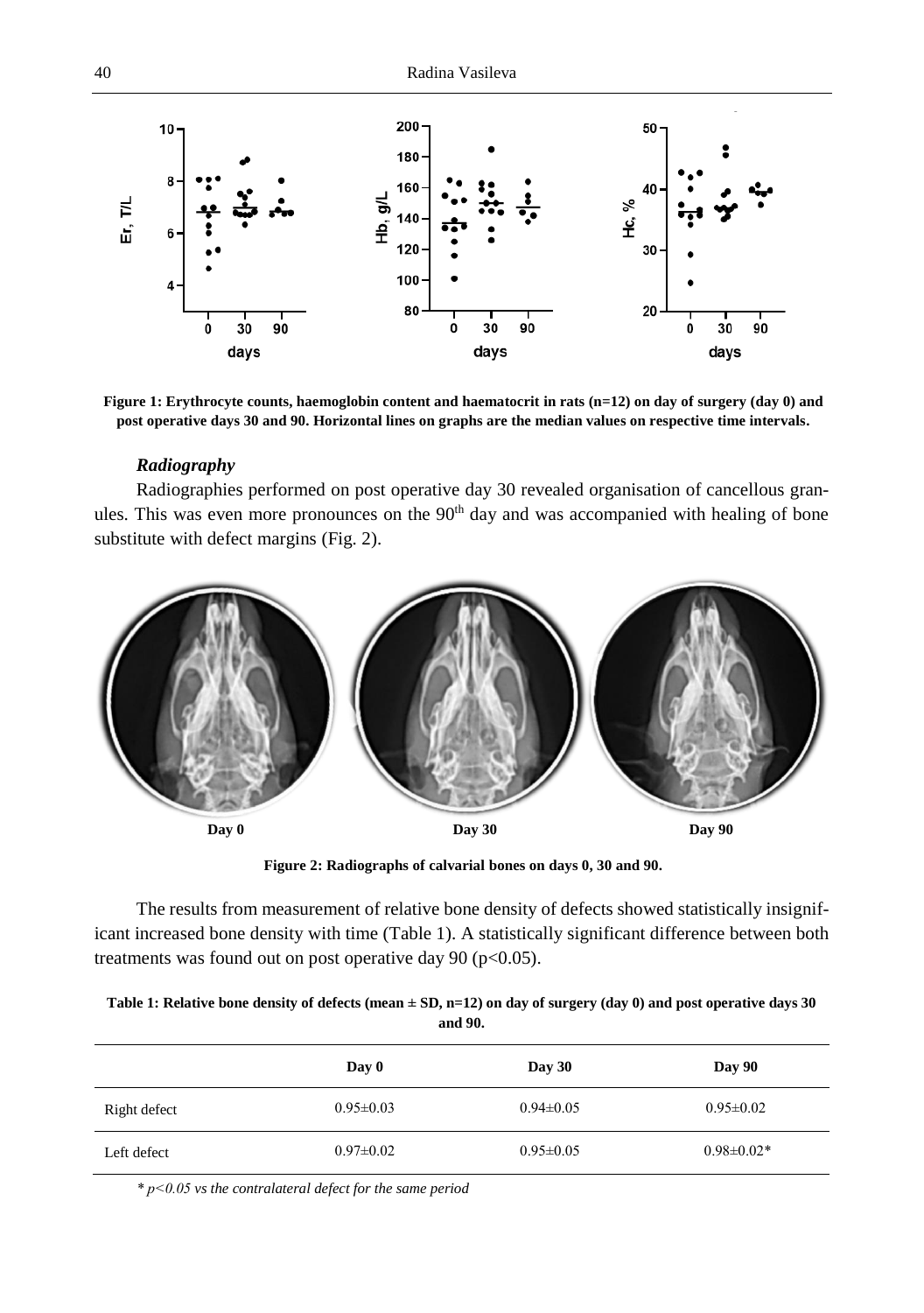

**Figure 1: Erythrocyte counts, haemoglobin content and haematocrit in rats (n=12) on day of surgery (day 0) and post operative days 30 and 90. Horizontal lines on graphs are the median values on respective time intervals.**

## *Radiography*

Radiographies performed on post operative day 30 revealed organisation of cancellous granules. This was even more pronounces on the  $90<sup>th</sup>$  day and was accompanied with healing of bone substitute with defect margins (Fig. 2).



**Figure 2: Radiographs of calvarial bones on days 0, 30 and 90.**

The results from measurement of relative bone density of defects showed statistically insignificant increased bone density with time (Table 1). A statistically significant difference between both treatments was found out on post operative day 90 ( $p$ <0.05).

| Table 1: Relative bone density of defects (mean $\pm$ SD, n=12) on day of surgery (day 0) and post operative days 30 |
|----------------------------------------------------------------------------------------------------------------------|
| and 90.                                                                                                              |

|              | Day 0           | Day 30          | Day 90           |
|--------------|-----------------|-----------------|------------------|
| Right defect | $0.95 \pm 0.03$ | $0.94 \pm 0.05$ | $0.95 \pm 0.02$  |
| Left defect  | $0.97 \pm 0.02$ | $0.95 \pm 0.05$ | $0.98 \pm 0.02*$ |

*\* р<0.05 vs the contralateral defect for the same period*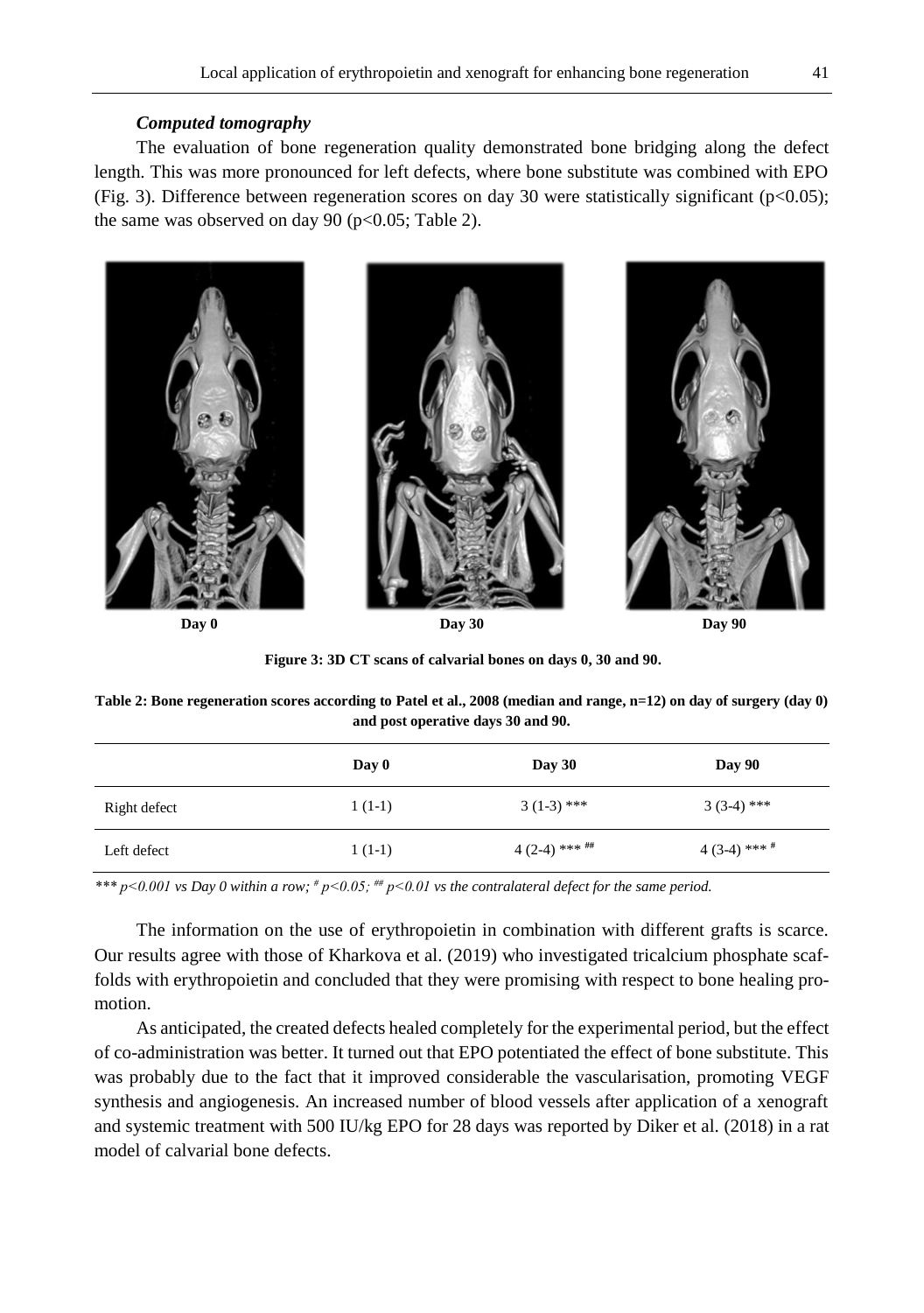## *Computed tomography*

The evaluation of bone regeneration quality demonstrated bone bridging along the defect length. This was more pronounced for left defects, where bone substitute was combined with EPO (Fig. 3). Difference between regeneration scores on day 30 were statistically significant ( $p<0.05$ ); the same was observed on day 90 ( $p<0.05$ ; Table 2).



**Day 0 Day 30 Day 90 Day 90** 

**Figure 3: 3D CT scans of calvarial bones on days 0, 30 and 90.**

**Table 2: Bone regeneration scores according to Patel et al., 2008 (median and range, n=12) on day of surgery (day 0) and post operative days 30 and 90.**

|              | Day 0    | Day 30            | Day 90         |
|--------------|----------|-------------------|----------------|
| Right defect | $1(1-1)$ | $3(1-3)$ ***      | $3(3-4)$ ***   |
| Left defect  | $1(1-1)$ | $4(2-4)$ *** $\#$ | $4(3-4)$ *** # |

*\*\*\* р<0.001 vs Day 0 within a row; # р<0.05; ## р<0.01 vs the contralateral defect for the same period.*

The information on the use of erythropoietin in combination with different grafts is scarce. Our results agree with those of Kharkova et al. (2019) who investigated tricalcium phosphate scaffolds with erythropoietin and concluded that they were promising with respect to bone healing promotion.

As anticipated, the created defects healed completely for the experimental period, but the effect of co-administration was better. It turned out that EPO potentiated the effect of bone substitute. This was probably due to the fact that it improved considerable the vascularisation, promoting VEGF synthesis and angiogenesis. An increased number of blood vessels after application of a xenograft and systemic treatment with 500 IU/kg EPO for 28 days was reported by Diker et al. (2018) in a rat model of calvarial bone defects.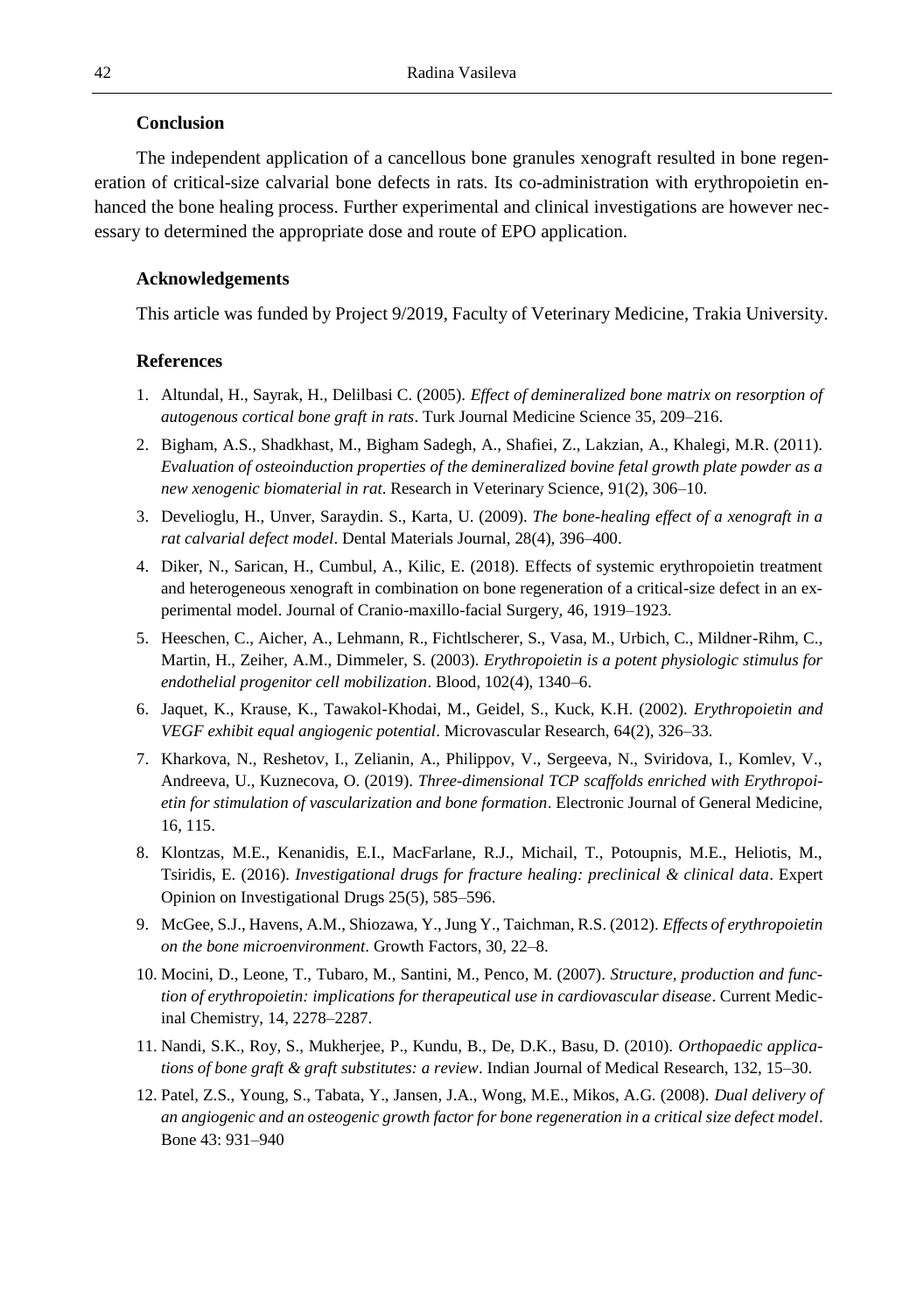## **Conclusion**

The independent application of a cancellous bone granules xenograft resulted in bone regeneration of critical-size calvarial bone defects in rats. Its co-administration with erythropoietin enhanced the bone healing process. Further experimental and clinical investigations are however necessary to determined the appropriate dose and route of EPO application.

#### **Acknowledgements**

This article was funded by Project 9/2019, Faculty of Veterinary Medicine, Trakia University.

#### **References**

- 1. Altundal, H., Sayrak, H., Delilbasi C. (2005). *Effect of demineralized bone matrix on resorption of autogenous cortical bone graft in rats*. Turk Journal Medicine Science 35, 209–216.
- 2. Bigham, A.S., Shadkhast, M., Bigham Sadegh, A., Shafiei, Z., Lakzian, A., Khalegi, M.R. (2011). *Evaluation of osteoinduction properties of the demineralized bovine fetal growth plate powder as a new xenogenic biomaterial in rat*. Research in Veterinary Science, 91(2), 306–10.
- 3. Develioglu, H., Unver, Saraydin. S., Karta, U. (2009). *The bone-healing effect of a xenograft in a rat calvarial defect model*. Dental Materials Journal, 28(4), 396–400.
- 4. Diker, N., Sarican, H., Cumbul, A., Kilic, E. (2018). Effects of systemic erythropoietin treatment and heterogeneous xenograft in combination on bone regeneration of a critical-size defect in an experimental model. Journal of Cranio-maxillo-facial Surgery, 46, 1919–1923.
- 5. Heeschen, C., Aicher, A., Lehmann, R., Fichtlscherer, S., Vasa, M., Urbich, C., Mildner-Rihm, C., Martin, H., Zeiher, A.M., Dimmeler, S. (2003). *Erythropoietin is a potent physiologic stimulus for endothelial progenitor cell mobilization*. Blood, 102(4), 1340–6.
- 6. Jaquet, K., Krause, K., Tawakol-Khodai, M., Geidel, S., Kuck, K.H. (2002). *Erythropoietin and VEGF exhibit equal angiogenic potential*. Microvascular Research, 64(2), 326–33.
- 7. Kharkova, N., Reshetov, I., Zelianin, A., Philippov, V., Sergeeva, N., Sviridova, I., Komlev, V., Andreeva, U., Kuznecova, O. (2019). *Three-dimensional TCP scaffolds enriched with Erythropoietin for stimulation of vascularization and bone formation*. Electronic Journal of General Medicine, 16, 115.
- 8. Klontzas, M.E., Kenanidis, E.I., MacFarlane, R.J., Michail, T., Potoupnis, M.E., Heliotis, M., Tsiridis, E. (2016). *Investigational drugs for fracture healing: preclinical & clinical data*. Expert Opinion on Investigational Drugs 25(5), 585–596.
- 9. McGee, S.J., Havens, A.M., Shiozawa, Y., Jung Y., Taichman, R.S. (2012). *Effects of erythropoietin on the bone microenvironment*. Growth Factors, 30, 22–8.
- 10. Mocini, D., Leone, T., Tubaro, M., Santini, M., Penco, M. (2007). *Structure, production and function of erythropoietin: implications for therapeutical use in cardiovascular disease*. Current Medicinal Chemistry, 14, 2278–2287.
- 11. Nandi, S.K., Roy, S., Mukherjee, P., Kundu, B., De, D.K., Basu, D. (2010). *Orthopaedic applications of bone graft & graft substitutes: a review*. Indian Journal of Medical Research, 132, 15–30.
- 12. Patel, Z.S., Young, S., Tabata, Y., Jansen, J.A., Wong, M.E., Mikos, A.G. (2008). *Dual delivery of an angiogenic and an osteogenic growth factor for bone regeneration in a critical size defect model*. Bone 43: 931–940